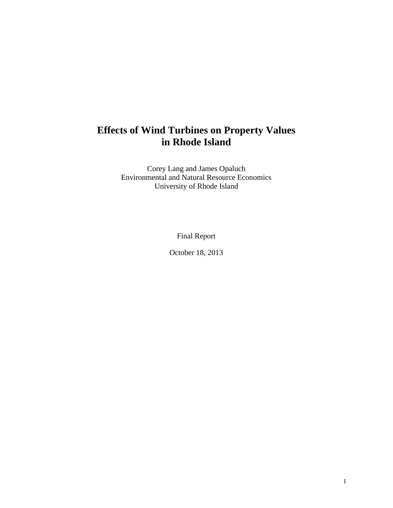# **Effects of Wind Turbines on Property Values in Rhode Island**

Corey Lang and James Opaluch Environmental and Natural Resource Economics University of Rhode Island

Final Report

October 18, 2013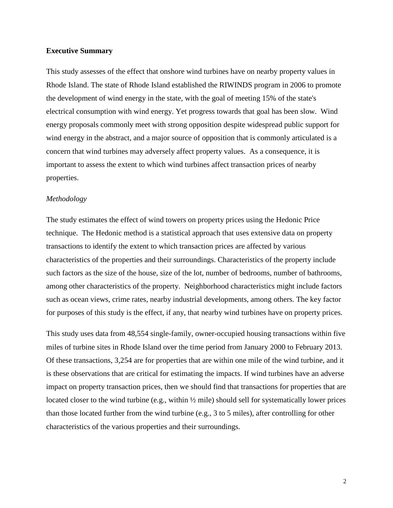## **Executive Summary**

This study assesses of the effect that onshore wind turbines have on nearby property values in Rhode Island. The state of Rhode Island established the RIWINDS program in 2006 to promote the development of wind energy in the state, with the goal of meeting 15% of the state's electrical consumption with wind energy. Yet progress towards that goal has been slow. Wind energy proposals commonly meet with strong opposition despite widespread public support for wind energy in the abstract, and a major source of opposition that is commonly articulated is a concern that wind turbines may adversely affect property values. As a consequence, it is important to assess the extent to which wind turbines affect transaction prices of nearby properties.

## *Methodology*

The study estimates the effect of wind towers on property prices using the Hedonic Price technique. The Hedonic method is a statistical approach that uses extensive data on property transactions to identify the extent to which transaction prices are affected by various characteristics of the properties and their surroundings. Characteristics of the property include such factors as the size of the house, size of the lot, number of bedrooms, number of bathrooms, among other characteristics of the property. Neighborhood characteristics might include factors such as ocean views, crime rates, nearby industrial developments, among others. The key factor for purposes of this study is the effect, if any, that nearby wind turbines have on property prices.

This study uses data from 48,554 single-family, owner-occupied housing transactions within five miles of turbine sites in Rhode Island over the time period from January 2000 to February 2013. Of these transactions, 3,254 are for properties that are within one mile of the wind turbine, and it is these observations that are critical for estimating the impacts. If wind turbines have an adverse impact on property transaction prices, then we should find that transactions for properties that are located closer to the wind turbine (e.g., within ½ mile) should sell for systematically lower prices than those located further from the wind turbine (e.g., 3 to 5 miles), after controlling for other characteristics of the various properties and their surroundings.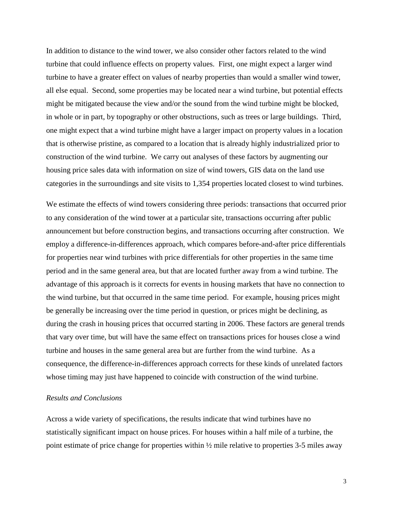In addition to distance to the wind tower, we also consider other factors related to the wind turbine that could influence effects on property values. First, one might expect a larger wind turbine to have a greater effect on values of nearby properties than would a smaller wind tower, all else equal. Second, some properties may be located near a wind turbine, but potential effects might be mitigated because the view and/or the sound from the wind turbine might be blocked, in whole or in part, by topography or other obstructions, such as trees or large buildings. Third, one might expect that a wind turbine might have a larger impact on property values in a location that is otherwise pristine, as compared to a location that is already highly industrialized prior to construction of the wind turbine. We carry out analyses of these factors by augmenting our housing price sales data with information on size of wind towers, GIS data on the land use categories in the surroundings and site visits to 1,354 properties located closest to wind turbines.

We estimate the effects of wind towers considering three periods: transactions that occurred prior to any consideration of the wind tower at a particular site, transactions occurring after public announcement but before construction begins, and transactions occurring after construction. We employ a difference-in-differences approach, which compares before-and-after price differentials for properties near wind turbines with price differentials for other properties in the same time period and in the same general area, but that are located further away from a wind turbine. The advantage of this approach is it corrects for events in housing markets that have no connection to the wind turbine, but that occurred in the same time period. For example, housing prices might be generally be increasing over the time period in question, or prices might be declining, as during the crash in housing prices that occurred starting in 2006. These factors are general trends that vary over time, but will have the same effect on transactions prices for houses close a wind turbine and houses in the same general area but are further from the wind turbine. As a consequence, the difference-in-differences approach corrects for these kinds of unrelated factors whose timing may just have happened to coincide with construction of the wind turbine.

#### *Results and Conclusions*

Across a wide variety of specifications, the results indicate that wind turbines have no statistically significant impact on house prices. For houses within a half mile of a turbine, the point estimate of price change for properties within ½ mile relative to properties 3-5 miles away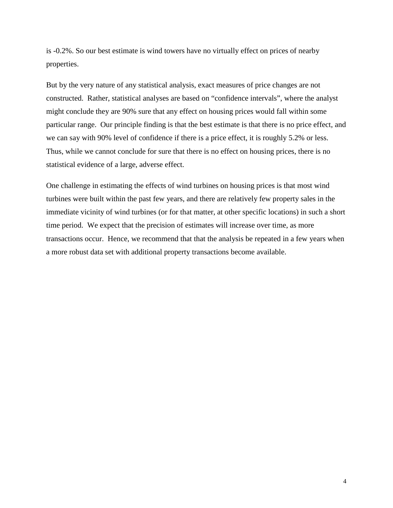is -0.2%. So our best estimate is wind towers have no virtually effect on prices of nearby properties.

But by the very nature of any statistical analysis, exact measures of price changes are not constructed. Rather, statistical analyses are based on "confidence intervals", where the analyst might conclude they are 90% sure that any effect on housing prices would fall within some particular range. Our principle finding is that the best estimate is that there is no price effect, and we can say with 90% level of confidence if there is a price effect, it is roughly 5.2% or less. Thus, while we cannot conclude for sure that there is no effect on housing prices, there is no statistical evidence of a large, adverse effect.

One challenge in estimating the effects of wind turbines on housing prices is that most wind turbines were built within the past few years, and there are relatively few property sales in the immediate vicinity of wind turbines (or for that matter, at other specific locations) in such a short time period. We expect that the precision of estimates will increase over time, as more transactions occur. Hence, we recommend that that the analysis be repeated in a few years when a more robust data set with additional property transactions become available.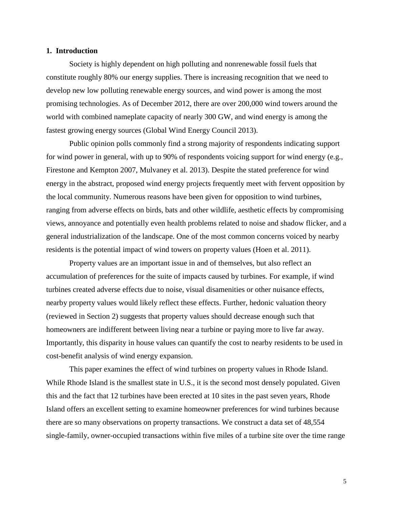#### **1. Introduction**

Society is highly dependent on high polluting and nonrenewable fossil fuels that constitute roughly 80% our energy supplies. There is increasing recognition that we need to develop new low polluting renewable energy sources, and wind power is among the most promising technologies. As of December 2012, there are over 200,000 wind towers around the world with combined nameplate capacity of nearly 300 GW, and wind energy is among the fastest growing energy sources (Global Wind Energy Council 2013).

Public opinion polls commonly find a strong majority of respondents indicating support for wind power in general, with up to 90% of respondents voicing support for wind energy (e.g., Firestone and Kempton 2007, Mulvaney et al. 2013). Despite the stated preference for wind energy in the abstract, proposed wind energy projects frequently meet with fervent opposition by the local community. Numerous reasons have been given for opposition to wind turbines, ranging from adverse effects on birds, bats and other wildlife, aesthetic effects by compromising views, annoyance and potentially even health problems related to noise and shadow flicker, and a general industrialization of the landscape. One of the most common concerns voiced by nearby residents is the potential impact of wind towers on property values (Hoen et al. 2011).

Property values are an important issue in and of themselves, but also reflect an accumulation of preferences for the suite of impacts caused by turbines. For example, if wind turbines created adverse effects due to noise, visual disamenities or other nuisance effects, nearby property values would likely reflect these effects. Further, hedonic valuation theory (reviewed in Section 2) suggests that property values should decrease enough such that homeowners are indifferent between living near a turbine or paying more to live far away. Importantly, this disparity in house values can quantify the cost to nearby residents to be used in cost-benefit analysis of wind energy expansion.

This paper examines the effect of wind turbines on property values in Rhode Island. While Rhode Island is the smallest state in U.S., it is the second most densely populated. Given this and the fact that 12 turbines have been erected at 10 sites in the past seven years, Rhode Island offers an excellent setting to examine homeowner preferences for wind turbines because there are so many observations on property transactions. We construct a data set of 48,554 single-family, owner-occupied transactions within five miles of a turbine site over the time range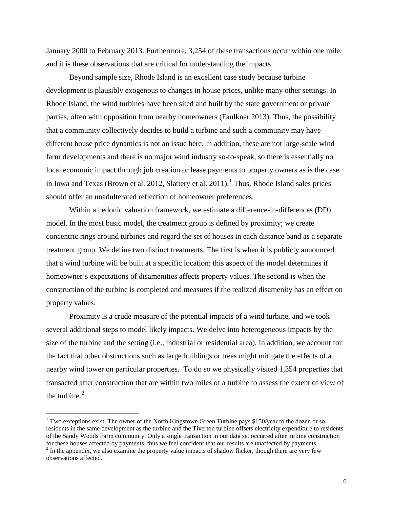January 2000 to February 2013. Furthermore, 3,254 of these transactions occur within one mile, and it is these observations that are critical for understanding the impacts.

Beyond sample size, Rhode Island is an excellent case study because turbine development is plausibly exogenous to changes in house prices, unlike many other settings. In Rhode Island, the wind turbines have been sited and built by the state government or private parties, often with opposition from nearby homeowners (Faulkner 2013). Thus, the possibility that a community collectively decides to build a turbine and such a community may have different house price dynamics is not an issue here. In addition, these are not large-scale wind farm developments and there is no major wind industry so-to-speak, so there is essentially no local economic impact through job creation or lease payments to property owners as is the case in Iowa and Texas (Brown et al. 20[1](#page-5-0)2, Slattery et al.  $2011$ ).<sup>1</sup> Thus, Rhode Island sales prices should offer an unadulterated reflection of homeowner preferences.

Within a hedonic valuation framework, we estimate a difference-in-differences (DD) model. In the most basic model, the treatment group is defined by proximity; we create concentric rings around turbines and regard the set of houses in each distance band as a separate treatment group. We define two distinct treatments. The first is when it is publicly announced that a wind turbine will be built at a specific location; this aspect of the model determines if homeowner's expectations of disamenities affects property values. The second is when the construction of the turbine is completed and measures if the realized disamenity has an effect on property values.

Proximity is a crude measure of the potential impacts of a wind turbine, and we took several additional steps to model likely impacts. We delve into heterogeneous impacts by the size of the turbine and the setting (i.e., industrial or residential area). In addition, we account for the fact that other obstructions such as large buildings or trees might mitigate the effects of a nearby wind tower on particular properties. To do so we physically visited 1,354 properties that transacted after construction that are within two miles of a turbine to assess the extent of view of the turbine. $<sup>2</sup>$  $<sup>2</sup>$  $<sup>2</sup>$ </sup>

<span id="page-5-0"></span><sup>&</sup>lt;sup>1</sup> Two exceptions exist. The owner of the North Kingstown Green Turbine pays \$150/year to the dozen or so residents in the same development as the turbine and the Tiverton turbine offsets electricity expenditure to residents of the Sandy Woods Farm community. Only a single transaction in our data set occurred after turbine construction

<span id="page-5-1"></span>for these houses affected by payments, thus we feel confident that our results are unaffected by payments.  $2 \text{ In the appendix, we also examine the property value impacts of shadow flicker, though there are very few }$ observations affected.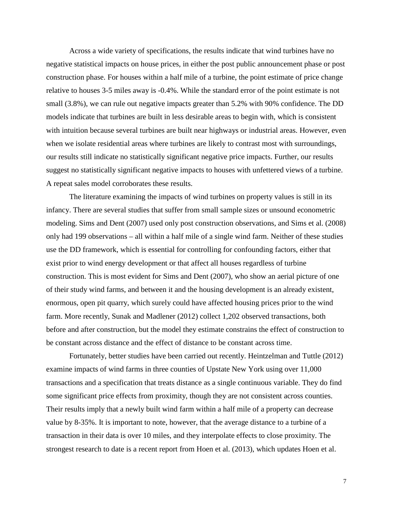Across a wide variety of specifications, the results indicate that wind turbines have no negative statistical impacts on house prices, in either the post public announcement phase or post construction phase. For houses within a half mile of a turbine, the point estimate of price change relative to houses 3-5 miles away is -0.4%. While the standard error of the point estimate is not small (3.8%), we can rule out negative impacts greater than 5.2% with 90% confidence. The DD models indicate that turbines are built in less desirable areas to begin with, which is consistent with intuition because several turbines are built near highways or industrial areas. However, even when we isolate residential areas where turbines are likely to contrast most with surroundings, our results still indicate no statistically significant negative price impacts. Further, our results suggest no statistically significant negative impacts to houses with unfettered views of a turbine. A repeat sales model corroborates these results.

The literature examining the impacts of wind turbines on property values is still in its infancy. There are several studies that suffer from small sample sizes or unsound econometric modeling. Sims and Dent (2007) used only post construction observations, and Sims et al. (2008) only had 199 observations – all within a half mile of a single wind farm. Neither of these studies use the DD framework, which is essential for controlling for confounding factors, either that exist prior to wind energy development or that affect all houses regardless of turbine construction. This is most evident for Sims and Dent (2007), who show an aerial picture of one of their study wind farms, and between it and the housing development is an already existent, enormous, open pit quarry, which surely could have affected housing prices prior to the wind farm. More recently, Sunak and Madlener (2012) collect 1,202 observed transactions, both before and after construction, but the model they estimate constrains the effect of construction to be constant across distance and the effect of distance to be constant across time.

Fortunately, better studies have been carried out recently. Heintzelman and Tuttle (2012) examine impacts of wind farms in three counties of Upstate New York using over 11,000 transactions and a specification that treats distance as a single continuous variable. They do find some significant price effects from proximity, though they are not consistent across counties. Their results imply that a newly built wind farm within a half mile of a property can decrease value by 8-35%. It is important to note, however, that the average distance to a turbine of a transaction in their data is over 10 miles, and they interpolate effects to close proximity. The strongest research to date is a recent report from Hoen et al. (2013), which updates Hoen et al.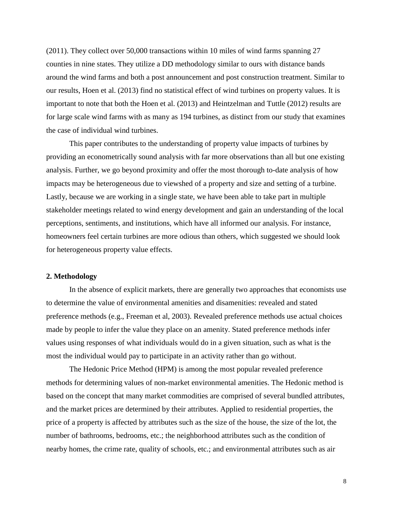(2011). They collect over 50,000 transactions within 10 miles of wind farms spanning 27 counties in nine states. They utilize a DD methodology similar to ours with distance bands around the wind farms and both a post announcement and post construction treatment. Similar to our results, Hoen et al. (2013) find no statistical effect of wind turbines on property values. It is important to note that both the Hoen et al. (2013) and Heintzelman and Tuttle (2012) results are for large scale wind farms with as many as 194 turbines, as distinct from our study that examines the case of individual wind turbines.

This paper contributes to the understanding of property value impacts of turbines by providing an econometrically sound analysis with far more observations than all but one existing analysis. Further, we go beyond proximity and offer the most thorough to-date analysis of how impacts may be heterogeneous due to viewshed of a property and size and setting of a turbine. Lastly, because we are working in a single state, we have been able to take part in multiple stakeholder meetings related to wind energy development and gain an understanding of the local perceptions, sentiments, and institutions, which have all informed our analysis. For instance, homeowners feel certain turbines are more odious than others, which suggested we should look for heterogeneous property value effects.

## **2. Methodology**

In the absence of explicit markets, there are generally two approaches that economists use to determine the value of environmental amenities and disamenities: revealed and stated preference methods (e.g., Freeman et al, 2003). Revealed preference methods use actual choices made by people to infer the value they place on an amenity. Stated preference methods infer values using responses of what individuals would do in a given situation, such as what is the most the individual would pay to participate in an activity rather than go without.

The Hedonic Price Method (HPM) is among the most popular revealed preference methods for determining values of non-market environmental amenities. The Hedonic method is based on the concept that many market commodities are comprised of several bundled attributes, and the market prices are determined by their attributes. Applied to residential properties, the price of a property is affected by attributes such as the size of the house, the size of the lot, the number of bathrooms, bedrooms, etc.; the neighborhood attributes such as the condition of nearby homes, the crime rate, quality of schools, etc.; and environmental attributes such as air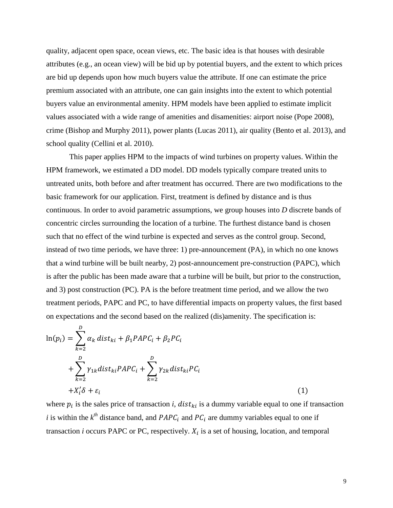quality, adjacent open space, ocean views, etc. The basic idea is that houses with desirable attributes (e.g., an ocean view) will be bid up by potential buyers, and the extent to which prices are bid up depends upon how much buyers value the attribute. If one can estimate the price premium associated with an attribute, one can gain insights into the extent to which potential buyers value an environmental amenity. HPM models have been applied to estimate implicit values associated with a wide range of amenities and disamenities: airport noise (Pope 2008), crime (Bishop and Murphy 2011), power plants (Lucas 2011), air quality (Bento et al. 2013), and school quality (Cellini et al. 2010).

This paper applies HPM to the impacts of wind turbines on property values. Within the HPM framework, we estimated a DD model. DD models typically compare treated units to untreated units, both before and after treatment has occurred. There are two modifications to the basic framework for our application. First, treatment is defined by distance and is thus continuous. In order to avoid parametric assumptions, we group houses into *D* discrete bands of concentric circles surrounding the location of a turbine. The furthest distance band is chosen such that no effect of the wind turbine is expected and serves as the control group. Second, instead of two time periods, we have three: 1) pre-announcement (PA), in which no one knows that a wind turbine will be built nearby, 2) post-announcement pre-construction (PAPC), which is after the public has been made aware that a turbine will be built, but prior to the construction, and 3) post construction (PC). PA is the before treatment time period, and we allow the two treatment periods, PAPC and PC, to have differential impacts on property values, the first based on expectations and the second based on the realized (dis)amenity. The specification is:

$$
\ln(p_i) = \sum_{k=2}^{D} \alpha_k \operatorname{dist}_{ki} + \beta_1 PAP C_i + \beta_2 P C_i
$$
  
+ 
$$
\sum_{k=2}^{D} \gamma_{1k} \operatorname{dist}_{ki} PAP C_i + \sum_{k=2}^{D} \gamma_{2k} \operatorname{dist}_{ki} P C_i
$$
  
+ 
$$
X'_i \delta + \varepsilon_i
$$
 (1)

where  $p_i$  is the sales price of transaction *i*,  $dist_{ki}$  is a dummy variable equal to one if transaction *i* is within the  $k^{th}$  distance band, and  $PAPC_i$  and  $PC_i$  are dummy variables equal to one if transaction *i* occurs PAPC or PC, respectively.  $X_i$  is a set of housing, location, and temporal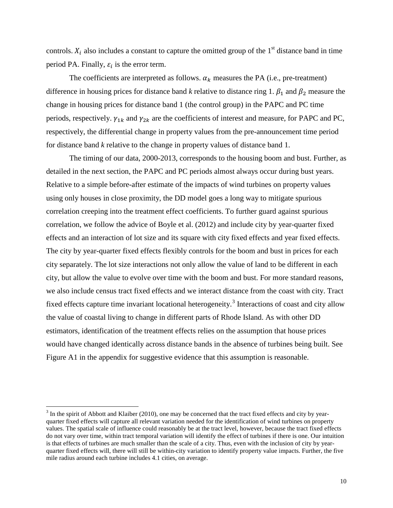controls.  $X_i$  also includes a constant to capture the omitted group of the 1<sup>st</sup> distance band in time period PA. Finally,  $\varepsilon_i$  is the error term.

The coefficients are interpreted as follows.  $\alpha_k$  measures the PA (i.e., pre-treatment) difference in housing prices for distance band *k* relative to distance ring 1.  $\beta_1$  and  $\beta_2$  measure the change in housing prices for distance band 1 (the control group) in the PAPC and PC time periods, respectively.  $\gamma_{1k}$  and  $\gamma_{2k}$  are the coefficients of interest and measure, for PAPC and PC, respectively, the differential change in property values from the pre-announcement time period for distance band *k* relative to the change in property values of distance band 1.

The timing of our data, 2000-2013, corresponds to the housing boom and bust. Further, as detailed in the next section, the PAPC and PC periods almost always occur during bust years. Relative to a simple before-after estimate of the impacts of wind turbines on property values using only houses in close proximity, the DD model goes a long way to mitigate spurious correlation creeping into the treatment effect coefficients. To further guard against spurious correlation, we follow the advice of Boyle et al. (2012) and include city by year-quarter fixed effects and an interaction of lot size and its square with city fixed effects and year fixed effects. The city by year-quarter fixed effects flexibly controls for the boom and bust in prices for each city separately. The lot size interactions not only allow the value of land to be different in each city, but allow the value to evolve over time with the boom and bust. For more standard reasons, we also include census tract fixed effects and we interact distance from the coast with city. Tract fixed effects capture time invariant locational heterogeneity.<sup>[3](#page-9-0)</sup> Interactions of coast and city allow the value of coastal living to change in different parts of Rhode Island. As with other DD estimators, identification of the treatment effects relies on the assumption that house prices would have changed identically across distance bands in the absence of turbines being built. See Figure A1 in the appendix for suggestive evidence that this assumption is reasonable.

<span id="page-9-0"></span> $3$  In the spirit of Abbott and Klaiber (2010), one may be concerned that the tract fixed effects and city by yearquarter fixed effects will capture all relevant variation needed for the identification of wind turbines on property values. The spatial scale of influence could reasonably be at the tract level, however, because the tract fixed effects do not vary over time, within tract temporal variation will identify the effect of turbines if there is one. Our intuition is that effects of turbines are much smaller than the scale of a city. Thus, even with the inclusion of city by yearquarter fixed effects will, there will still be within-city variation to identify property value impacts. Further, the five mile radius around each turbine includes 4.1 cities, on average.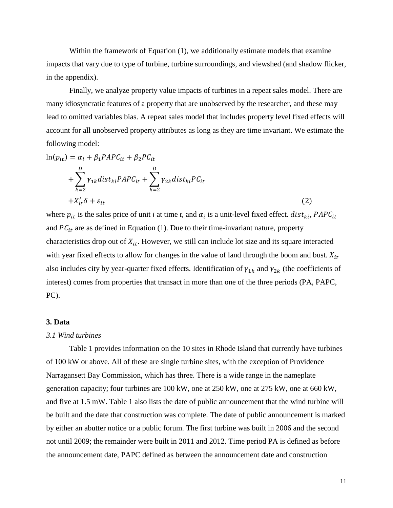Within the framework of Equation (1), we additionally estimate models that examine impacts that vary due to type of turbine, turbine surroundings, and viewshed (and shadow flicker, in the appendix).

Finally, we analyze property value impacts of turbines in a repeat sales model. There are many idiosyncratic features of a property that are unobserved by the researcher, and these may lead to omitted variables bias. A repeat sales model that includes property level fixed effects will account for all unobserved property attributes as long as they are time invariant. We estimate the following model:

$$
\ln(p_{it}) = \alpha_i + \beta_1 PAP C_{it} + \beta_2 P C_{it}
$$
  
+ 
$$
\sum_{k=2}^{D} \gamma_{1k} dist_{ki} PAP C_{it} + \sum_{k=2}^{D} \gamma_{2k} dist_{ki} P C_{it}
$$
  
+ 
$$
X'_{it} \delta + \varepsilon_{it}
$$
 (2)

where  $p_{it}$  is the sales price of unit *i* at time *t*, and  $\alpha_i$  is a unit-level fixed effect.  $dist_{ki}$ , PAPC<sub>it</sub> and  $PC_{it}$  are as defined in Equation (1). Due to their time-invariant nature, property characteristics drop out of  $X_{it}$ . However, we still can include lot size and its square interacted with year fixed effects to allow for changes in the value of land through the boom and bust.  $X_{it}$ also includes city by year-quarter fixed effects. Identification of  $\gamma_{1k}$  and  $\gamma_{2k}$  (the coefficients of interest) comes from properties that transact in more than one of the three periods (PA, PAPC, PC).

#### **3. Data**

#### *3.1 Wind turbines*

Table 1 provides information on the 10 sites in Rhode Island that currently have turbines of 100 kW or above. All of these are single turbine sites, with the exception of Providence Narragansett Bay Commission, which has three. There is a wide range in the nameplate generation capacity; four turbines are 100 kW, one at 250 kW, one at 275 kW, one at 660 kW, and five at 1.5 mW. Table 1 also lists the date of public announcement that the wind turbine will be built and the date that construction was complete. The date of public announcement is marked by either an abutter notice or a public forum. The first turbine was built in 2006 and the second not until 2009; the remainder were built in 2011 and 2012. Time period PA is defined as before the announcement date, PAPC defined as between the announcement date and construction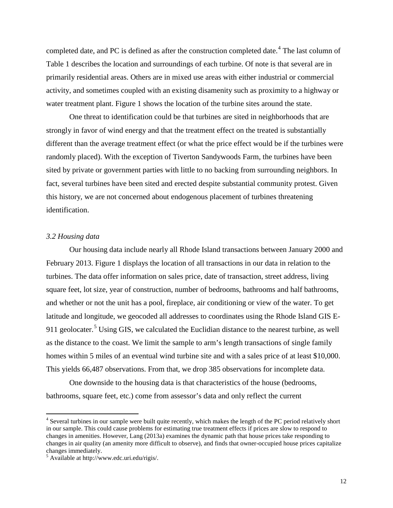completed date, and PC is defined as after the construction completed date.<sup>[4](#page-11-0)</sup> The last column of Table 1 describes the location and surroundings of each turbine. Of note is that several are in primarily residential areas. Others are in mixed use areas with either industrial or commercial activity, and sometimes coupled with an existing disamenity such as proximity to a highway or water treatment plant. Figure 1 shows the location of the turbine sites around the state.

One threat to identification could be that turbines are sited in neighborhoods that are strongly in favor of wind energy and that the treatment effect on the treated is substantially different than the average treatment effect (or what the price effect would be if the turbines were randomly placed). With the exception of Tiverton Sandywoods Farm, the turbines have been sited by private or government parties with little to no backing from surrounding neighbors. In fact, several turbines have been sited and erected despite substantial community protest. Given this history, we are not concerned about endogenous placement of turbines threatening identification.

## *3.2 Housing data*

Our housing data include nearly all Rhode Island transactions between January 2000 and February 2013. Figure 1 displays the location of all transactions in our data in relation to the turbines. The data offer information on sales price, date of transaction, street address, living square feet, lot size, year of construction, number of bedrooms, bathrooms and half bathrooms, and whether or not the unit has a pool, fireplace, air conditioning or view of the water. To get latitude and longitude, we geocoded all addresses to coordinates using the Rhode Island GIS E-911 geolocater.<sup>[5](#page-11-1)</sup> Using GIS, we calculated the Euclidian distance to the nearest turbine, as well as the distance to the coast. We limit the sample to arm's length transactions of single family homes within 5 miles of an eventual wind turbine site and with a sales price of at least \$10,000. This yields 66,487 observations. From that, we drop 385 observations for incomplete data.

One downside to the housing data is that characteristics of the house (bedrooms, bathrooms, square feet, etc.) come from assessor's data and only reflect the current

<span id="page-11-0"></span><sup>&</sup>lt;sup>4</sup> Several turbines in our sample were built quite recently, which makes the length of the PC period relatively short in our sample. This could cause problems for estimating true treatment effects if prices are slow to respond to changes in amenities. However, Lang (2013a) examines the dynamic path that house prices take responding to changes in air quality (an amenity more difficult to observe), and finds that owner-occupied house prices capitalize changes immediately.

<span id="page-11-1"></span><sup>5</sup> Available at http://www.edc.uri.edu/rigis/.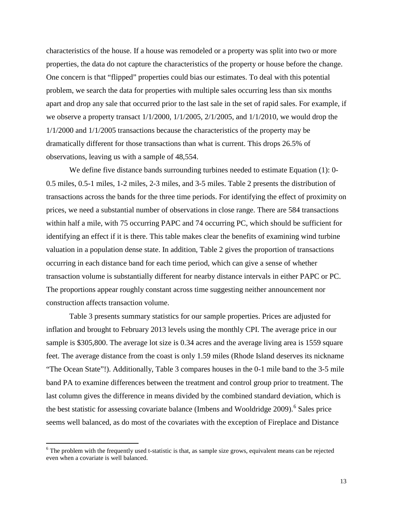characteristics of the house. If a house was remodeled or a property was split into two or more properties, the data do not capture the characteristics of the property or house before the change. One concern is that "flipped" properties could bias our estimates. To deal with this potential problem, we search the data for properties with multiple sales occurring less than six months apart and drop any sale that occurred prior to the last sale in the set of rapid sales. For example, if we observe a property transact 1/1/2000, 1/1/2005, 2/1/2005, and 1/1/2010, we would drop the 1/1/2000 and 1/1/2005 transactions because the characteristics of the property may be dramatically different for those transactions than what is current. This drops 26.5% of observations, leaving us with a sample of 48,554.

We define five distance bands surrounding turbines needed to estimate Equation (1): 0- 0.5 miles, 0.5-1 miles, 1-2 miles, 2-3 miles, and 3-5 miles. Table 2 presents the distribution of transactions across the bands for the three time periods. For identifying the effect of proximity on prices, we need a substantial number of observations in close range. There are 584 transactions within half a mile, with 75 occurring PAPC and 74 occurring PC, which should be sufficient for identifying an effect if it is there. This table makes clear the benefits of examining wind turbine valuation in a population dense state. In addition, Table 2 gives the proportion of transactions occurring in each distance band for each time period, which can give a sense of whether transaction volume is substantially different for nearby distance intervals in either PAPC or PC. The proportions appear roughly constant across time suggesting neither announcement nor construction affects transaction volume.

Table 3 presents summary statistics for our sample properties. Prices are adjusted for inflation and brought to February 2013 levels using the monthly CPI. The average price in our sample is \$305,800. The average lot size is 0.34 acres and the average living area is 1559 square feet. The average distance from the coast is only 1.59 miles (Rhode Island deserves its nickname "The Ocean State"!). Additionally, Table 3 compares houses in the 0-1 mile band to the 3-5 mile band PA to examine differences between the treatment and control group prior to treatment. The last column gives the difference in means divided by the combined standard deviation, which is the best statistic for assessing covariate balance (Imbens and Wooldridge 2009).<sup>[6](#page-12-0)</sup> Sales price seems well balanced, as do most of the covariates with the exception of Fireplace and Distance

<span id="page-12-0"></span> $6$  The problem with the frequently used t-statistic is that, as sample size grows, equivalent means can be rejected even when a covariate is well balanced.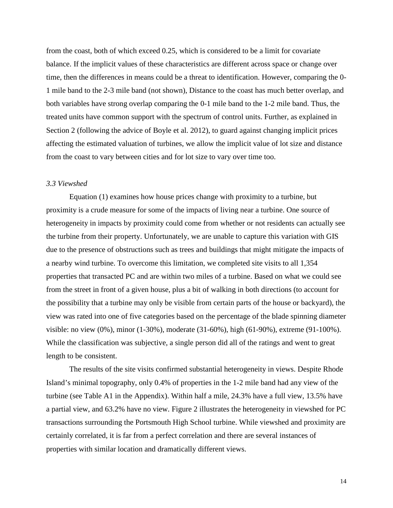from the coast, both of which exceed 0.25, which is considered to be a limit for covariate balance. If the implicit values of these characteristics are different across space or change over time, then the differences in means could be a threat to identification. However, comparing the 0- 1 mile band to the 2-3 mile band (not shown), Distance to the coast has much better overlap, and both variables have strong overlap comparing the 0-1 mile band to the 1-2 mile band. Thus, the treated units have common support with the spectrum of control units. Further, as explained in Section 2 (following the advice of Boyle et al. 2012), to guard against changing implicit prices affecting the estimated valuation of turbines, we allow the implicit value of lot size and distance from the coast to vary between cities and for lot size to vary over time too.

# *3.3 Viewshed*

Equation (1) examines how house prices change with proximity to a turbine, but proximity is a crude measure for some of the impacts of living near a turbine. One source of heterogeneity in impacts by proximity could come from whether or not residents can actually see the turbine from their property. Unfortunately, we are unable to capture this variation with GIS due to the presence of obstructions such as trees and buildings that might mitigate the impacts of a nearby wind turbine. To overcome this limitation, we completed site visits to all 1,354 properties that transacted PC and are within two miles of a turbine. Based on what we could see from the street in front of a given house, plus a bit of walking in both directions (to account for the possibility that a turbine may only be visible from certain parts of the house or backyard), the view was rated into one of five categories based on the percentage of the blade spinning diameter visible: no view (0%), minor (1-30%), moderate (31-60%), high (61-90%), extreme (91-100%). While the classification was subjective, a single person did all of the ratings and went to great length to be consistent.

The results of the site visits confirmed substantial heterogeneity in views. Despite Rhode Island's minimal topography, only 0.4% of properties in the 1-2 mile band had any view of the turbine (see Table A1 in the Appendix). Within half a mile, 24.3% have a full view, 13.5% have a partial view, and 63.2% have no view. Figure 2 illustrates the heterogeneity in viewshed for PC transactions surrounding the Portsmouth High School turbine. While viewshed and proximity are certainly correlated, it is far from a perfect correlation and there are several instances of properties with similar location and dramatically different views.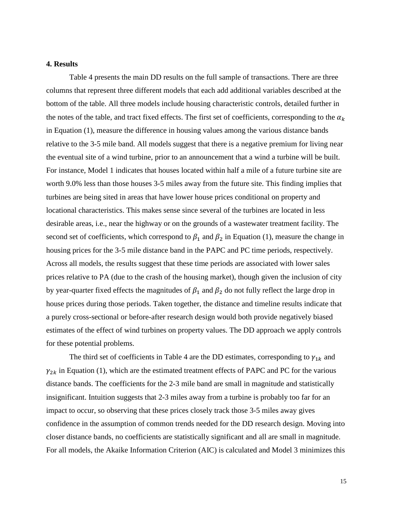## **4. Results**

Table 4 presents the main DD results on the full sample of transactions. There are three columns that represent three different models that each add additional variables described at the bottom of the table. All three models include housing characteristic controls, detailed further in the notes of the table, and tract fixed effects. The first set of coefficients, corresponding to the  $\alpha_k$ in Equation (1), measure the difference in housing values among the various distance bands relative to the 3-5 mile band. All models suggest that there is a negative premium for living near the eventual site of a wind turbine, prior to an announcement that a wind a turbine will be built. For instance, Model 1 indicates that houses located within half a mile of a future turbine site are worth 9.0% less than those houses 3-5 miles away from the future site. This finding implies that turbines are being sited in areas that have lower house prices conditional on property and locational characteristics. This makes sense since several of the turbines are located in less desirable areas, i.e., near the highway or on the grounds of a wastewater treatment facility. The second set of coefficients, which correspond to  $\beta_1$  and  $\beta_2$  in Equation (1), measure the change in housing prices for the 3-5 mile distance band in the PAPC and PC time periods, respectively. Across all models, the results suggest that these time periods are associated with lower sales prices relative to PA (due to the crash of the housing market), though given the inclusion of city by year-quarter fixed effects the magnitudes of  $\beta_1$  and  $\beta_2$  do not fully reflect the large drop in house prices during those periods. Taken together, the distance and timeline results indicate that a purely cross-sectional or before-after research design would both provide negatively biased estimates of the effect of wind turbines on property values. The DD approach we apply controls for these potential problems.

The third set of coefficients in Table 4 are the DD estimates, corresponding to  $\gamma_{1k}$  and  $\gamma_{2k}$  in Equation (1), which are the estimated treatment effects of PAPC and PC for the various distance bands. The coefficients for the 2-3 mile band are small in magnitude and statistically insignificant. Intuition suggests that 2-3 miles away from a turbine is probably too far for an impact to occur, so observing that these prices closely track those 3-5 miles away gives confidence in the assumption of common trends needed for the DD research design. Moving into closer distance bands, no coefficients are statistically significant and all are small in magnitude. For all models, the Akaike Information Criterion (AIC) is calculated and Model 3 minimizes this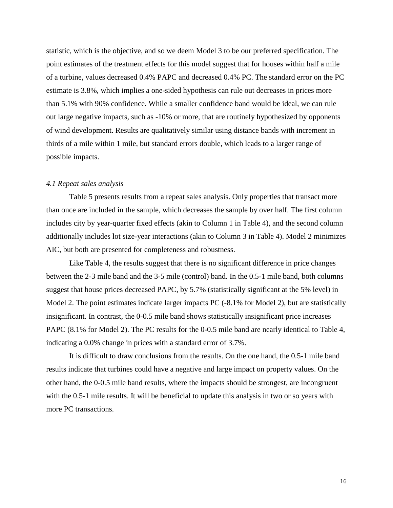statistic, which is the objective, and so we deem Model 3 to be our preferred specification. The point estimates of the treatment effects for this model suggest that for houses within half a mile of a turbine, values decreased 0.4% PAPC and decreased 0.4% PC. The standard error on the PC estimate is 3.8%, which implies a one-sided hypothesis can rule out decreases in prices more than 5.1% with 90% confidence. While a smaller confidence band would be ideal, we can rule out large negative impacts, such as -10% or more, that are routinely hypothesized by opponents of wind development. Results are qualitatively similar using distance bands with increment in thirds of a mile within 1 mile, but standard errors double, which leads to a larger range of possible impacts.

#### *4.1 Repeat sales analysis*

Table 5 presents results from a repeat sales analysis. Only properties that transact more than once are included in the sample, which decreases the sample by over half. The first column includes city by year-quarter fixed effects (akin to Column 1 in Table 4), and the second column additionally includes lot size-year interactions (akin to Column 3 in Table 4). Model 2 minimizes AIC, but both are presented for completeness and robustness.

Like Table 4, the results suggest that there is no significant difference in price changes between the 2-3 mile band and the 3-5 mile (control) band. In the 0.5-1 mile band, both columns suggest that house prices decreased PAPC, by 5.7% (statistically significant at the 5% level) in Model 2. The point estimates indicate larger impacts PC (-8.1% for Model 2), but are statistically insignificant. In contrast, the 0-0.5 mile band shows statistically insignificant price increases PAPC (8.1% for Model 2). The PC results for the 0-0.5 mile band are nearly identical to Table 4, indicating a 0.0% change in prices with a standard error of 3.7%.

It is difficult to draw conclusions from the results. On the one hand, the 0.5-1 mile band results indicate that turbines could have a negative and large impact on property values. On the other hand, the 0-0.5 mile band results, where the impacts should be strongest, are incongruent with the 0.5-1 mile results. It will be beneficial to update this analysis in two or so years with more PC transactions.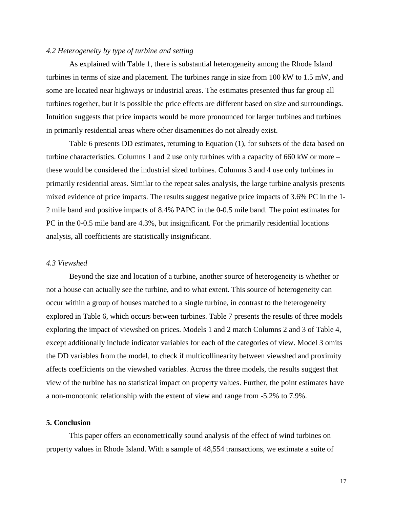# *4.2 Heterogeneity by type of turbine and setting*

As explained with Table 1, there is substantial heterogeneity among the Rhode Island turbines in terms of size and placement. The turbines range in size from 100 kW to 1.5 mW, and some are located near highways or industrial areas. The estimates presented thus far group all turbines together, but it is possible the price effects are different based on size and surroundings. Intuition suggests that price impacts would be more pronounced for larger turbines and turbines in primarily residential areas where other disamenities do not already exist.

Table 6 presents DD estimates, returning to Equation (1), for subsets of the data based on turbine characteristics. Columns 1 and 2 use only turbines with a capacity of 660 kW or more – these would be considered the industrial sized turbines. Columns 3 and 4 use only turbines in primarily residential areas. Similar to the repeat sales analysis, the large turbine analysis presents mixed evidence of price impacts. The results suggest negative price impacts of 3.6% PC in the 1- 2 mile band and positive impacts of 8.4% PAPC in the 0-0.5 mile band. The point estimates for PC in the 0-0.5 mile band are 4.3%, but insignificant. For the primarily residential locations analysis, all coefficients are statistically insignificant.

#### *4.3 Viewshed*

Beyond the size and location of a turbine, another source of heterogeneity is whether or not a house can actually see the turbine, and to what extent. This source of heterogeneity can occur within a group of houses matched to a single turbine, in contrast to the heterogeneity explored in Table 6, which occurs between turbines. Table 7 presents the results of three models exploring the impact of viewshed on prices. Models 1 and 2 match Columns 2 and 3 of Table 4, except additionally include indicator variables for each of the categories of view. Model 3 omits the DD variables from the model, to check if multicollinearity between viewshed and proximity affects coefficients on the viewshed variables. Across the three models, the results suggest that view of the turbine has no statistical impact on property values. Further, the point estimates have a non-monotonic relationship with the extent of view and range from -5.2% to 7.9%.

#### **5. Conclusion**

This paper offers an econometrically sound analysis of the effect of wind turbines on property values in Rhode Island. With a sample of 48,554 transactions, we estimate a suite of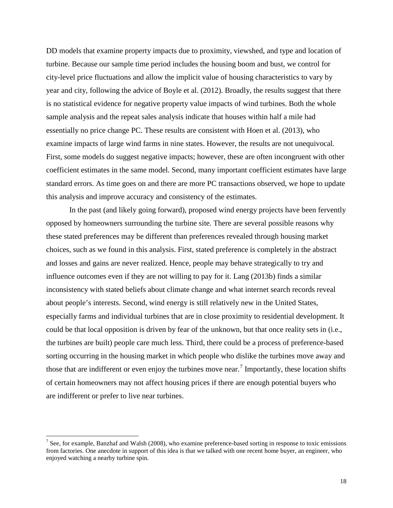DD models that examine property impacts due to proximity, viewshed, and type and location of turbine. Because our sample time period includes the housing boom and bust, we control for city-level price fluctuations and allow the implicit value of housing characteristics to vary by year and city, following the advice of Boyle et al. (2012). Broadly, the results suggest that there is no statistical evidence for negative property value impacts of wind turbines. Both the whole sample analysis and the repeat sales analysis indicate that houses within half a mile had essentially no price change PC. These results are consistent with Hoen et al. (2013), who examine impacts of large wind farms in nine states. However, the results are not unequivocal. First, some models do suggest negative impacts; however, these are often incongruent with other coefficient estimates in the same model. Second, many important coefficient estimates have large standard errors. As time goes on and there are more PC transactions observed, we hope to update this analysis and improve accuracy and consistency of the estimates.

In the past (and likely going forward), proposed wind energy projects have been fervently opposed by homeowners surrounding the turbine site. There are several possible reasons why these stated preferences may be different than preferences revealed through housing market choices, such as we found in this analysis. First, stated preference is completely in the abstract and losses and gains are never realized. Hence, people may behave strategically to try and influence outcomes even if they are not willing to pay for it. Lang (2013b) finds a similar inconsistency with stated beliefs about climate change and what internet search records reveal about people's interests. Second, wind energy is still relatively new in the United States, especially farms and individual turbines that are in close proximity to residential development. It could be that local opposition is driven by fear of the unknown, but that once reality sets in (i.e., the turbines are built) people care much less. Third, there could be a process of preference-based sorting occurring in the housing market in which people who dislike the turbines move away and those that are indifferent or even enjoy the turbines move near.<sup>[7](#page-17-0)</sup> Importantly, these location shifts of certain homeowners may not affect housing prices if there are enough potential buyers who are indifferent or prefer to live near turbines.

<span id="page-17-0"></span><sup>&</sup>lt;sup>7</sup> See, for example, Banzhaf and Walsh (2008), who examine preference-based sorting in response to toxic emissions from factories. One anecdote in support of this idea is that we talked with one recent home buyer, an engineer, who enjoyed watching a nearby turbine spin.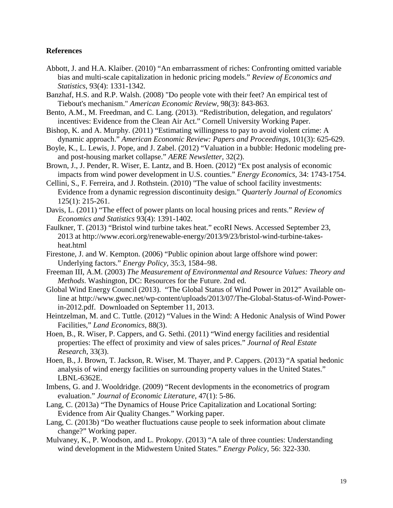# **References**

- Abbott, J. and H.A. Klaiber. (2010) "An embarrassment of riches: Confronting omitted variable bias and multi-scale capitalization in hedonic pricing models." *Review of Economics and Statistics*, 93(4): 1331-1342.
- Banzhaf, H.S. and R.P. Walsh. (2008) "Do people vote with their feet? An empirical test of Tiebout's mechanism." *American Economic Review,* 98(3): 843-863.
- Bento, A.M., M. Freedman, and C. Lang. (2013). "Redistribution, delegation, and regulators' incentives: Evidence from the Clean Air Act." Cornell University Working Paper.
- Bishop, K. and A. Murphy. (2011) "Estimating willingness to pay to avoid violent crime: A dynamic approach." *American Economic Review: Papers and Proceedings,* 101(3): 625-629.
- Boyle, K., L. Lewis, J. Pope, and J. Zabel. (2012) "Valuation in a bubble: Hedonic modeling preand post-housing market collapse." *AERE Newsletter,* 32(2).
- Brown, J., J. Pender, R. Wiser, E. Lantz, and B. Hoen. (2012) "Ex post analysis of economic impacts from wind power development in U.S. counties." *Energy Economics*, 34: 1743-1754.
- Cellini, S., F. Ferreira, and J. Rothstein. (2010) "The value of school facility investments: Evidence from a dynamic regression discontinuity design." *Quarterly Journal of Economics* 125(1): 215-261.
- Davis, L. (2011) "The effect of power plants on local housing prices and rents." *Review of Economics and Statistics* 93(4): 1391-1402.
- Faulkner, T. (2013) "Bristol wind turbine takes heat." ecoRI News. Accessed September 23, 2013 at http://www.ecori.org/renewable-energy/2013/9/23/bristol-wind-turbine-takesheat.html
- Firestone, J. and W. Kempton. (2006) "Public opinion about large offshore wind power: Underlying factors." *Energy Policy*, 35:3, 1584–98.
- Freeman III, A.M. (2003) *The Measurement of Environmental and Resource Values: Theory and Methods*. Washington, DC: Resources for the Future. 2nd ed.
- Global Wind Energy Council (2013). "The Global Status of Wind Power in 2012" Available online at http://www.gwec.net/wp-content/uploads/2013/07/The-Global-Status-of-Wind-Powerin-2012.pdf. Downloaded on September 11, 2013.
- Heintzelman, M. and C. Tuttle. (2012) "Values in the Wind: A Hedonic Analysis of Wind Power Facilities," *Land Economics*, 88(3).
- Hoen, B., R. Wiser, P. Cappers, and G. Sethi. (2011) "Wind energy facilities and residential properties: The effect of proximity and view of sales prices." *Journal of Real Estate Research*, 33(3).
- Hoen, B., J. Brown, T. Jackson, R. Wiser, M. Thayer, and P. Cappers. (2013) "A spatial hedonic analysis of wind energy facilities on surrounding property values in the United States." LBNL-6362E.
- Imbens, G. and J. Wooldridge. (2009) "Recent devlopments in the econometrics of program evaluation." *Journal of Economic Literature*, 47(1): 5-86.
- Lang, C. (2013a) "The Dynamics of House Price Capitalization and Locational Sorting: Evidence from Air Quality Changes." Working paper.
- Lang, C. (2013b) "Do weather fluctuations cause people to seek information about climate change?" Working paper.
- Mulvaney, K., P. Woodson, and L. Prokopy. (2013) "A tale of three counties: Understanding wind development in the Midwestern United States." *Energy Policy*, 56: 322-330.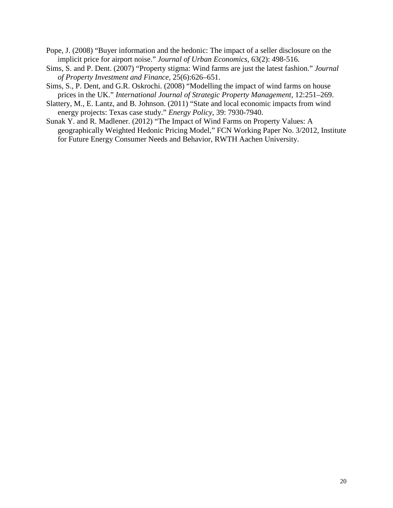- Pope, J. (2008) "Buyer information and the hedonic: The impact of a seller disclosure on the implicit price for airport noise." *Journal of Urban Economics,* 63(2): 498-516.
- Sims, S. and P. Dent. (2007) "Property stigma: Wind farms are just the latest fashion." *Journal of Property Investment and Finance,* 25(6):626–651.
- Sims, S., P. Dent, and G.R. Oskrochi. (2008) "Modelling the impact of wind farms on house prices in the UK." *International Journal of Strategic Property Management,* 12:251–269.
- Slattery, M., E. Lantz, and B. Johnson. (2011) "State and local economic impacts from wind energy projects: Texas case study." *Energy Policy*, 39: 7930-7940.
- Sunak Y. and R. Madlener. (2012) "The Impact of Wind Farms on Property Values: A geographically Weighted Hedonic Pricing Model," FCN Working Paper No. 3/2012, Institute for Future Energy Consumer Needs and Behavior, RWTH Aachen University.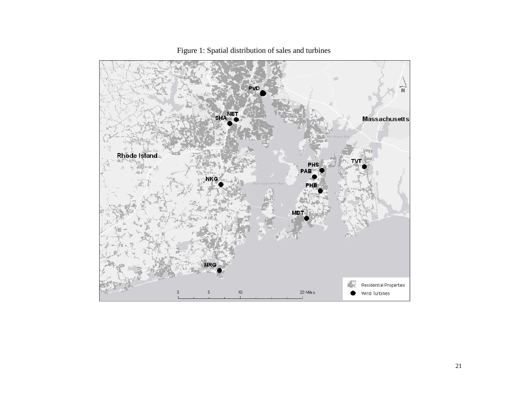

Figure 1: Spatial distribution of sales and turbines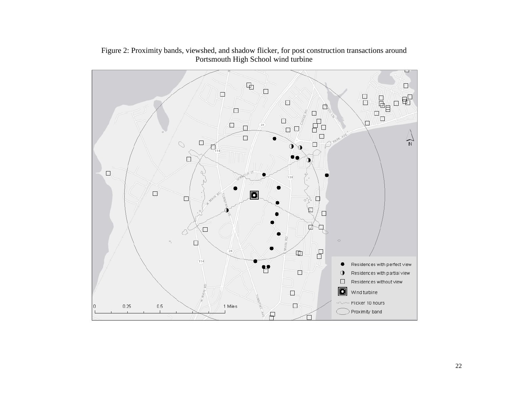

Figure 2: Proximity bands, viewshed, and shadow flicker, for post construction transactions around Portsmouth High School wind turbine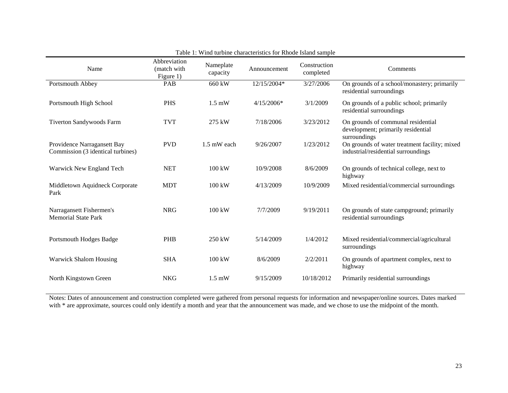| Name                                                             | Abbreviation<br>(match with<br>Figure 1) | Nameplate<br>capacity | Announcement | Construction<br>completed | Comments                                                                                 |
|------------------------------------------------------------------|------------------------------------------|-----------------------|--------------|---------------------------|------------------------------------------------------------------------------------------|
| Portsmouth Abbey                                                 | <b>PAB</b>                               | 660 kW                | 12/15/2004*  | 3/27/2006                 | On grounds of a school/monastery; primarily<br>residential surroundings                  |
| Portsmouth High School                                           | <b>PHS</b>                               | $1.5 \text{ mW}$      | $4/15/2006*$ | 3/1/2009                  | On grounds of a public school; primarily<br>residential surroundings                     |
| <b>Tiverton Sandywoods Farm</b>                                  | <b>TVT</b>                               | 275 kW                | 7/18/2006    | 3/23/2012                 | On grounds of communal residential<br>development; primarily residential<br>surroundings |
| Providence Narragansett Bay<br>Commission (3 identical turbines) | <b>PVD</b>                               | 1.5 mW each           | 9/26/2007    | 1/23/2012                 | On grounds of water treatment facility; mixed<br>industrial/residential surroundings     |
| Warwick New England Tech                                         | <b>NET</b>                               | 100 kW                | 10/9/2008    | 8/6/2009                  | On grounds of technical college, next to<br>highway                                      |
| Middletown Aquidneck Corporate<br>Park                           | <b>MDT</b>                               | $100$ kW              | 4/13/2009    | 10/9/2009                 | Mixed residential/commercial surroundings                                                |
| Narragansett Fishermen's<br><b>Memorial State Park</b>           | <b>NRG</b>                               | $100 \text{ kW}$      | 7/7/2009     | 9/19/2011                 | On grounds of state campground; primarily<br>residential surroundings                    |
| Portsmouth Hodges Badge                                          | PHB                                      | 250 kW                | 5/14/2009    | 1/4/2012                  | Mixed residential/commercial/agricultural<br>surroundings                                |
| <b>Warwick Shalom Housing</b>                                    | <b>SHA</b>                               | 100 kW                | 8/6/2009     | 2/2/2011                  | On grounds of apartment complex, next to<br>highway                                      |
| North Kingstown Green                                            | <b>NKG</b>                               | $1.5$ mW              | 9/15/2009    | 10/18/2012                | Primarily residential surroundings                                                       |

Table 1: Wind turbine characteristics for Rhode Island sample

Notes: Dates of announcement and construction completed were gathered from personal requests for information and newspaper/online sources. Dates marked with \* are approximate, sources could only identify a month and year that the announcement was made, and we chose to use the midpoint of the month.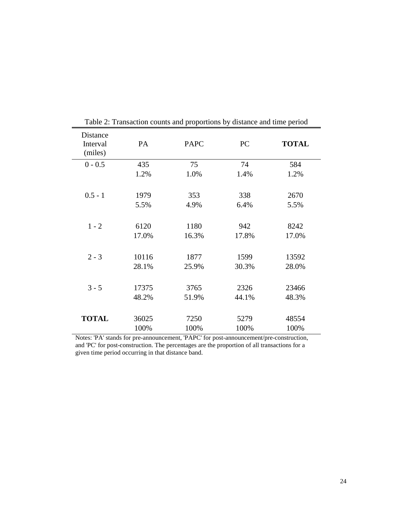| Distance<br>Interval<br>(miles) | PA    | <b>PAPC</b> | PC    | <b>TOTAL</b> |
|---------------------------------|-------|-------------|-------|--------------|
| $0 - 0.5$                       | 435   | 75          | 74    | 584          |
|                                 | 1.2%  | 1.0%        | 1.4%  | 1.2%         |
| $0.5 - 1$                       | 1979  | 353         | 338   | 2670         |
|                                 | 5.5%  | 4.9%        | 6.4%  | 5.5%         |
| $1 - 2$                         | 6120  | 1180        | 942   | 8242         |
|                                 | 17.0% | 16.3%       | 17.8% | 17.0%        |
| $2 - 3$                         | 10116 | 1877        | 1599  | 13592        |
|                                 | 28.1% | 25.9%       | 30.3% | 28.0%        |
| $3 - 5$                         | 17375 | 3765        | 2326  | 23466        |
|                                 | 48.2% | 51.9%       | 44.1% | 48.3%        |
| <b>TOTAL</b>                    | 36025 | 7250        | 5279  | 48554        |
|                                 | 100%  | 100%        | 100%  | 100%         |

|  |  | Table 2: Transaction counts and proportions by distance and time period |
|--|--|-------------------------------------------------------------------------|
|  |  |                                                                         |

Notes: 'PA' stands for pre-announcement, 'PAPC' for post-announcement/pre-construction, and 'PC' for post-construction. The percentages are the proportion of all transactions for a given time period occurring in that distance band.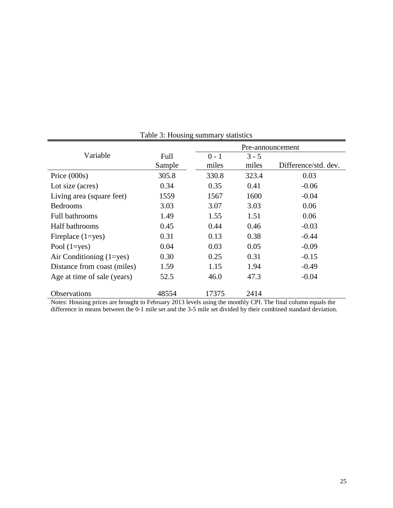|                              |        |         | Pre-announcement |                      |
|------------------------------|--------|---------|------------------|----------------------|
| Variable                     | Full   | $0 - 1$ | $3 - 5$          |                      |
|                              | Sample | miles   | miles            | Difference/std. dev. |
| Price $(000s)$               | 305.8  | 330.8   | 323.4            | 0.03                 |
| Lot size (acres)             | 0.34   | 0.35    | 0.41             | $-0.06$              |
| Living area (square feet)    | 1559   | 1567    | 1600             | $-0.04$              |
| <b>Bedrooms</b>              | 3.03   | 3.07    | 3.03             | 0.06                 |
| Full bathrooms               | 1.49   | 1.55    | 1.51             | 0.06                 |
| Half bathrooms               | 0.45   | 0.44    | 0.46             | $-0.03$              |
| Fireplace $(1 = yes)$        | 0.31   | 0.13    | 0.38             | $-0.44$              |
| Pool $(1 = yes)$             | 0.04   | 0.03    | 0.05             | $-0.09$              |
| Air Conditioning $(1 = yes)$ | 0.30   | 0.25    | 0.31             | $-0.15$              |
| Distance from coast (miles)  | 1.59   | 1.15    | 1.94             | $-0.49$              |
| Age at time of sale (years)  | 52.5   | 46.0    | 47.3             | $-0.04$              |
| <b>Observations</b>          | 48554  | 17375   | 2414             |                      |

Table 3: Housing summary statistics

Notes: Housing prices are brought to February 2013 levels using the monthly CPI. The final column equals the difference in means between the 0-1 mile set and the 3-5 mile set divided by their combined standard deviation.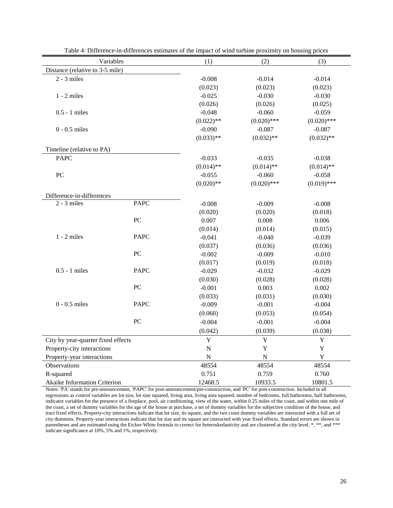| Variables                          |             | (1)            | (2)            | (3)           |
|------------------------------------|-------------|----------------|----------------|---------------|
| Distance (relative to 3-5 mile)    |             |                |                |               |
| $2 - 3$ miles                      |             | $-0.008$       | $-0.014$       | $-0.014$      |
|                                    |             | (0.023)        | (0.023)        | (0.023)       |
| $1 - 2$ miles                      |             | $-0.025$       | $-0.030$       | $-0.030$      |
|                                    |             | (0.026)        | (0.026)        | (0.025)       |
| $0.5 - 1$ miles                    |             | $-0.048$       | $-0.060$       | $-0.059$      |
|                                    |             | $(0.022)$ **   | $(0.020)$ ***  | $(0.020)$ *** |
| $0 - 0.5$ miles                    |             | $-0.090$       | $-0.087$       | $-0.087$      |
|                                    |             | $(0.033)$ **   | $(0.032)$ **   | $(0.032)$ **  |
| Timeline (relative to PA)          |             |                |                |               |
| <b>PAPC</b>                        |             | $-0.033$       | $-0.035$       | $-0.038$      |
|                                    |             | $(0.014)$ **   | $(0.014)$ **   | $(0.014)$ **  |
| PC                                 |             | $-0.055$       | $-0.060$       | $-0.058$      |
|                                    |             | $(0.020)$ **   | $(0.020)$ ***  | $(0.019)$ *** |
| Difference-in-differences          |             |                |                |               |
| $2 - 3$ miles                      | <b>PAPC</b> | $-0.008$       | $-0.009$       | $-0.008$      |
|                                    |             | (0.020)        | (0.020)        | (0.018)       |
|                                    | PC          | 0.007          | 0.008          | 0.006         |
|                                    |             | (0.014)        | (0.014)        | (0.015)       |
| $1 - 2$ miles<br><b>PAPC</b>       |             | $-0.041$       | $-0.040$       | $-0.039$      |
|                                    |             | (0.037)        | (0.036)        | (0.036)       |
|                                    | PC          | $-0.002$       | $-0.009$       | $-0.010$      |
|                                    |             | (0.017)        | (0.019)        | (0.018)       |
| $0.5 - 1$ miles                    | <b>PAPC</b> | $-0.029$       | $-0.032$       | $-0.029$      |
|                                    |             | (0.030)        | (0.028)        | (0.028)       |
|                                    | PC          | $-0.001$       | 0.003          | 0.002         |
|                                    |             | (0.033)        | (0.031)        | (0.030)       |
| $0 - 0.5$ miles                    | <b>PAPC</b> | $-0.009$       | $-0.001$       | $-0.004$      |
|                                    |             | (0.060)        | (0.053)        | (0.054)       |
|                                    | PC          | $-0.004$       | $-0.001$       | $-0.004$      |
|                                    |             | (0.042)        | (0.039)        | (0.038)       |
| City by year-quarter fixed effects |             | $\mathbf Y$    | $\mathbf Y$    | $\mathbf Y$   |
| Property-city interactions         |             | $\mathbf N$    | $\mathbf Y$    | Y             |
| Property-year interactions         |             | $\overline{N}$ | $\overline{N}$ | Y             |
| Observations                       |             | 48554          | 48554          | 48554         |
| R-squared                          |             | 0.751          | 0.759          | 0.760         |
| Akaike Information Criterion       |             | 12468.5        | 10933.5        | 10801.5       |

Table 4: Difference-in-differences estimates of the impact of wind turbine proximity on housing prices

Notes: 'PA' stands for pre-announcement, 'PAPC' for post-announcement/pre-construction, and 'PC' for post-construction. Included in all regressions as control variables are lot size, lot size squared, living area, living area squared, number of bedrooms, full bathrooms, half bathrooms, indicator variables for the presence of a fireplace, pool, air conditioning, view of the water, within 0.25 miles of the coast, and within one mile of the coast, a set of dummy variables for the age of the house at purchase, a set of dummy variables for the subjective condition of the house, and tract fixed effects. Property-city interactions indicate that lot size, its square, and the two coast dummy variables are interacted with a full set of city dummies. Property-year interactions indicate that lot size and its square are interacted with year fixed effects. Standard errors are shown in parentheses and are estimated using the Eicker-White formula to correct for heteroskedasticity and are clustered at the city level. \*, \*\*, and \*\*\* indicate significance at 10%, 5% and 1%, respectively.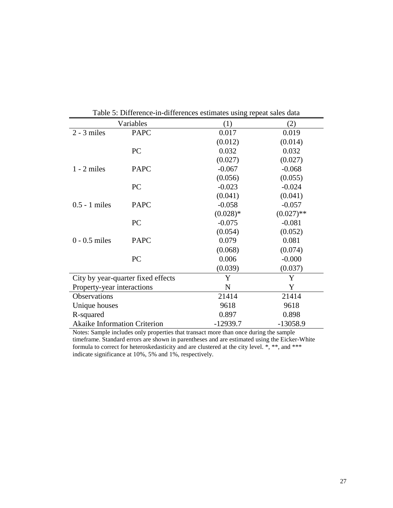|                                     | Variables   | (1)        | (2)          |
|-------------------------------------|-------------|------------|--------------|
| $2 - 3$ miles                       | <b>PAPC</b> | 0.017      | 0.019        |
|                                     |             | (0.012)    | (0.014)      |
|                                     | PC          | 0.032      | 0.032        |
|                                     |             | (0.027)    | (0.027)      |
| $1 - 2$ miles                       | <b>PAPC</b> | $-0.067$   | $-0.068$     |
|                                     |             | (0.056)    | (0.055)      |
|                                     | PC          | $-0.023$   | $-0.024$     |
|                                     |             | (0.041)    | (0.041)      |
| $0.5 - 1$ miles                     | <b>PAPC</b> | $-0.058$   | $-0.057$     |
|                                     |             | $(0.028)*$ | $(0.027)$ ** |
|                                     | <b>PC</b>   | $-0.075$   | $-0.081$     |
|                                     |             | (0.054)    | (0.052)      |
| $0 - 0.5$ miles                     | <b>PAPC</b> | 0.079      | 0.081        |
|                                     |             | (0.068)    | (0.074)      |
|                                     | PC          | 0.006      | $-0.000$     |
|                                     |             | (0.039)    | (0.037)      |
| City by year-quarter fixed effects  |             | Y          | Y            |
| Property-year interactions          |             | N          | Y            |
| <b>Observations</b>                 |             | 21414      | 21414        |
| Unique houses                       |             | 9618       | 9618         |
| R-squared                           |             | 0.897      | 0.898        |
| <b>Akaike Information Criterion</b> |             | $-12939.7$ | $-13058.9$   |

Table 5: Difference-in-differences estimates using repeat sales data

Notes: Sample includes only properties that transact more than once during the sample timeframe. Standard errors are shown in parentheses and are estimated using the Eicker-White formula to correct for heteroskedasticity and are clustered at the city level. \*, \*\*, and \*\*\* indicate significance at 10%, 5% and 1%, respectively.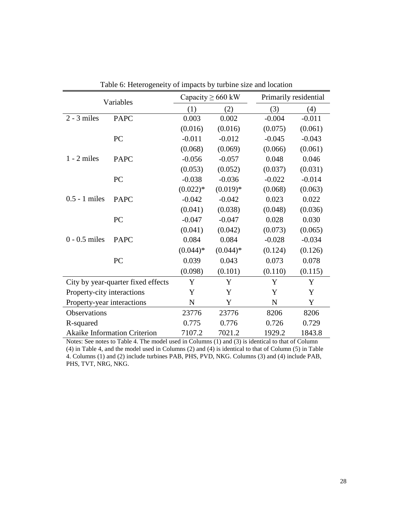| Variables                           |             | Capacity $\geq 660$ kW |            |             | Primarily residential |  |
|-------------------------------------|-------------|------------------------|------------|-------------|-----------------------|--|
|                                     |             | (1)                    | (2)        | (3)         | (4)                   |  |
| $2 - 3$ miles                       | <b>PAPC</b> | 0.003                  | 0.002      | $-0.004$    | $-0.011$              |  |
|                                     |             | (0.016)                | (0.016)    | (0.075)     | (0.061)               |  |
|                                     | PC          | $-0.011$               | $-0.012$   | $-0.045$    | $-0.043$              |  |
|                                     |             | (0.068)                | (0.069)    | (0.066)     | (0.061)               |  |
| $1 - 2$ miles                       | <b>PAPC</b> | $-0.056$               | $-0.057$   | 0.048       | 0.046                 |  |
|                                     |             | (0.053)                | (0.052)    | (0.037)     | (0.031)               |  |
|                                     | PC          | $-0.038$               | $-0.036$   | $-0.022$    | $-0.014$              |  |
|                                     |             | $(0.022)*$             | $(0.019)*$ | (0.068)     | (0.063)               |  |
| $0.5 - 1$ miles                     | <b>PAPC</b> | $-0.042$               | $-0.042$   | 0.023       | 0.022                 |  |
|                                     |             | (0.041)                | (0.038)    | (0.048)     | (0.036)               |  |
|                                     | PC          | $-0.047$               | $-0.047$   | 0.028       | 0.030                 |  |
|                                     |             | (0.041)                | (0.042)    | (0.073)     | (0.065)               |  |
| $0 - 0.5$ miles                     | <b>PAPC</b> | 0.084                  | 0.084      | $-0.028$    | $-0.034$              |  |
|                                     |             | $(0.044)*$             | $(0.044)*$ | (0.124)     | (0.126)               |  |
|                                     | PC          | 0.039                  | 0.043      | 0.073       | 0.078                 |  |
|                                     |             | (0.098)                | (0.101)    | (0.110)     | (0.115)               |  |
| City by year-quarter fixed effects  |             | Y                      | Y          | Y           | Y                     |  |
| Property-city interactions          |             | Y                      | Y          | Y           | Y                     |  |
| Property-year interactions          |             | ${\bf N}$              | Y          | $\mathbf N$ | Y                     |  |
| Observations                        |             | 23776                  | 23776      | 8206        | 8206                  |  |
| R-squared                           |             | 0.775                  | 0.776      | 0.726       | 0.729                 |  |
| <b>Akaike Information Criterion</b> |             | 7107.2                 | 7021.2     | 1929.2      | 1843.8                |  |

Table 6: Heterogeneity of impacts by turbine size and location

Notes: See notes to Table 4. The model used in Columns (1) and (3) is identical to that of Column (4) in Table 4, and the model used in Columns (2) and (4) is identical to that of Column (5) in Table 4. Columns (1) and (2) include turbines PAB, PHS, PVD, NKG. Columns (3) and (4) include PAB, PHS, TVT, NRG, NKG.